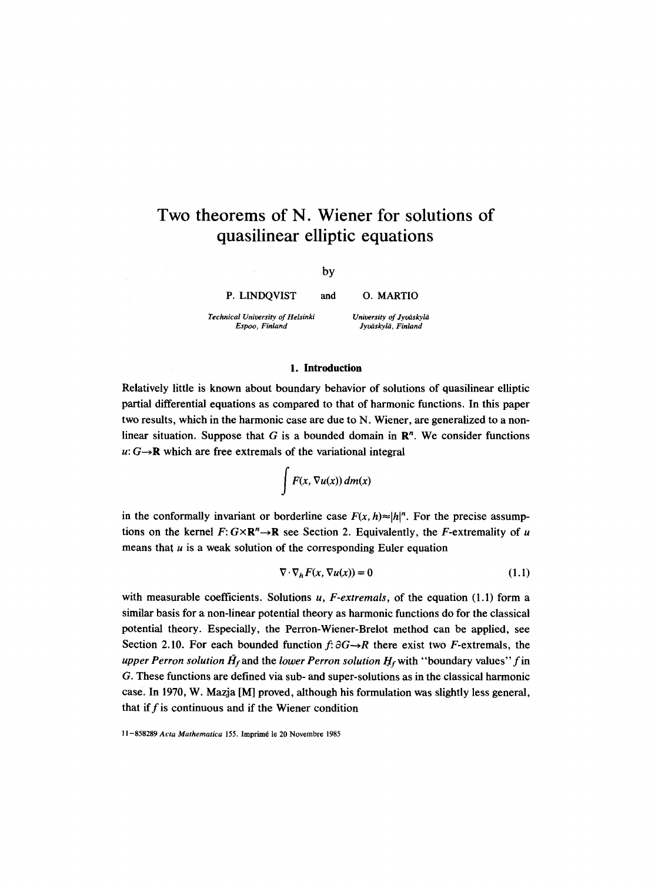# **Two theorems of N. Wiener for solutions**  of **quasilinear elliptic equations**

by

**P.** LINDQVIST and O. MARTIO

*Technical University of Helsinki Espoo, Finland* 

*University of Jyo~skyli~ Jyoiiskylii, Finland* 

#### **1.** Introduction

Relatively little is known about boundary behavior of solutions of quasilinear elliptic partial differential equations as compared to that of harmonic functions. In this paper two results, which in the harmonic case are due to N. Wiener, are generalized to a nonlinear situation. Suppose that G is a bounded domain in  $\mathbb{R}^n$ . We consider functions  $u: G \rightarrow \mathbb{R}$  which are free extremals of the variational integral

 $\int$  *F*(*x*,  $\nabla$ *u*(*x*)) *dm*(*x*)

in the conformally invariant or borderline case  $F(x, h) \approx |h|^n$ . For the precise assumptions on the kernel  $F: G \times \mathbb{R}^n \to \mathbb{R}$  see Section 2. Equivalently, the F-extremality of u means that  $u$  is a weak solution of the corresponding Euler equation

$$
\nabla \cdot \nabla_h F(x, \nabla u(x)) = 0 \tag{1.1}
$$

with measurable coefficients. Solutions u, F-extremals, of the equation (1.1) form a similar basis for a non-linear potential theory as harmonic functions do for the classical potential theory. Especially, the Perron-Wiener-Brelot method can be applied, see Section 2.10. For each bounded function  $f: \partial G \rightarrow R$  there exist two *F*-extremals, the *upper Perron solution*  $\hat{H}_f$  and the *lower Perron solution*  $H_f$  with "boundary values" fin G. These functions are defined via sub- and super-solutions as in the classical harmonic case. In 1970, W. Mazja [M] proved, although his formulation was slightly less general, that if  $f$  is continuous and if the Wiener condition

11-858289 Acta Mathematica 155. Imprimé le 20 Novembre 1985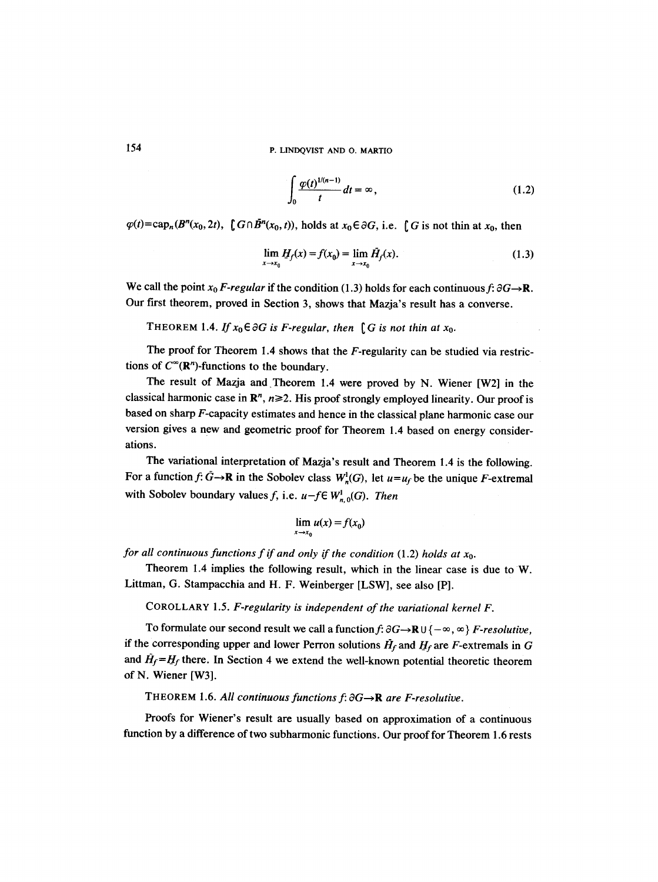$$
\int_0^1 \frac{\varphi(t)^{1/(n-1)}}{t} dt = \infty, \qquad (1.2)
$$

 $\varphi(t) = \text{cap}_n(B^n(x_0, 2t), \text{ } [G \cap B^n(x_0, t)), \text{ holds at } x_0 \in \partial G, \text{ i.e. } [G \text{ is not thin at } x_0, \text{ then}$ 

$$
\lim_{x \to x_0} H_f(x) = f(x_0) = \lim_{x \to x_0} \bar{H}_f(x).
$$
\n(1.3)

We call the point  $x_0$  F-regular if the condition (1.3) holds for each continuous f:  $\partial G \rightarrow \mathbf{R}$ . Our first theorem, proved in Section 3, shows that Mazja's result has a converse.

THEOREM 1.4. *If*  $x_0 \in \partial G$  is *F-regular, then* [G is not thin at  $x_0$ .

The proof for Theorem 1.4 shows that the F-regularity can be studied via restrictions of  $C^{\infty}(\mathbb{R}^n)$ -functions to the boundary.

The result of Mazja and Theorem 1.4 were proved by N. Wiener [W2] in the classical harmonic case in  $\mathbb{R}^n$ ,  $n \ge 2$ . His proof strongly employed linearity. Our proof is based on sharp F-capacity estimates and hence in the classical plane harmonic case our version gives a new and geometric proof for Theorem 1.4 based on energy considerations.

The variational interpretation of Mazja's result and Theorem 1.4 is the following. For a function  $f: \tilde{G} \to \mathbf{R}$  in the Sobolev class  $W_n^1(G)$ , let  $u=u_f$  be the unique F-extremal with Sobolev boundary values f, i.e.  $u-f \in W_{n,0}^1(G)$ . Then

$$
\lim_{x \to x_0} u(x) = f(x_0)
$$

*for all continuous functions f if and only if the condition* (1.2) *holds at Xo.* 

Theorem 1.4 implies the following result, which in the linear case is due to W. Littman, G. Stampacchia and H. F. Weinberger [LSW], see also [P].

COROLLARY 1.5. *F-regularity is independent of the variational kernel F.* 

To formulate our second result we call a function  $f: \partial G \rightarrow \mathbb{R} \cup \{-\infty, \infty\}$  *F-resolutive,* if the corresponding upper and lower Perron solutions  $H_f$  and  $H_f$  are F-extremals in G and  $\tilde{H}_f = H_f$  there. In Section 4 we extend the well-known potential theoretic theorem of N. Wiener [W3].

THEOREM 1.6. All continuous functions  $f: \partial G \rightarrow \mathbb{R}$  are *F*-resolutive.

Proofs for Wiener's result are usually based on approximation of a continuous function by a difference of two subharmonic functions. Our proof for Theorem 1.6 rests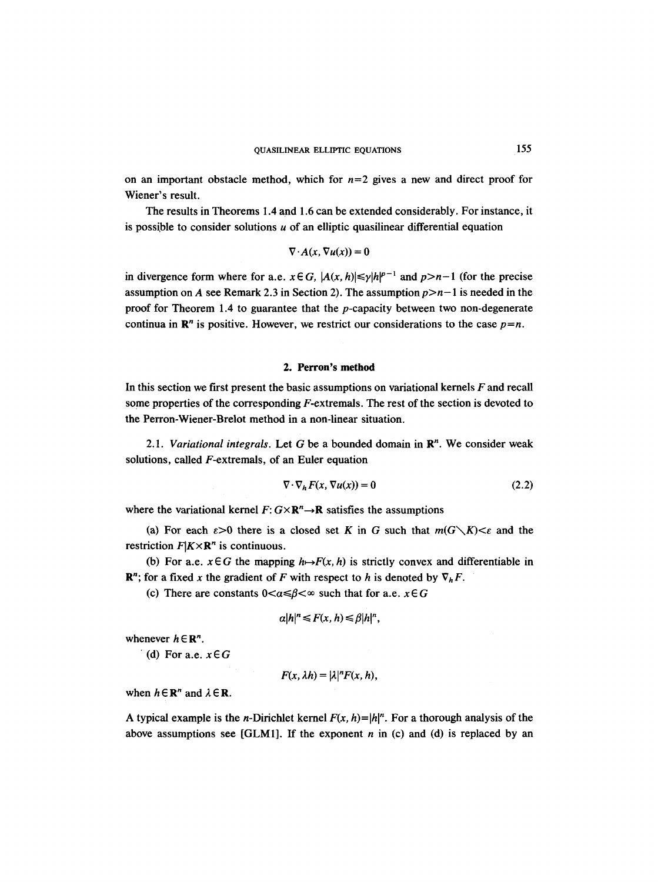on an important obstacle method, which for  $n=2$  gives a new and direct proof for Wiener's result.

The results in Theorems 1.4 and 1.6 can be extended considerably. For instance, it is possible to consider solutions  $u$  of an elliptic quasilinear differential equation

$$
\nabla \cdot A(x, \nabla u(x)) = 0
$$

in divergence form where for a.e.  $x \in G$ ,  $|A(x, h)| \leq \gamma |h|^{p-1}$  and  $p > n-1$  (for the precise assumption on A see Remark 2.3 in Section 2). The assumption  $p > n-1$  is needed in the proof for Theorem 1.4 to guarantee that the  $p$ -capacity between two non-degenerate continua in  $\mathbb{R}^n$  is positive. However, we restrict our considerations to the case  $p=n$ .

#### **2. Perron's method**

In this section we first present the basic assumptions on variational kernels  $F$  and recall some properties of the corresponding  $F$ -extremals. The rest of the section is devoted to the Perron-Wiener-Brelot method in a non-linear situation.

*2.1. Variational integrals.* Let G be a bounded domain in R". We consider weak solutions, called F-extremals, of an Euler equation

$$
\nabla \cdot \nabla_h F(x, \nabla u(x)) = 0 \tag{2.2}
$$

where the variational kernel  $F: G \times \mathbb{R}^n \to \mathbb{R}$  satisfies the assumptions

(a) For each  $\varepsilon > 0$  there is a closed set K in G such that  $m(G\setminus K) < \varepsilon$  and the restriction  $F|K \times \mathbb{R}^n$  is continuous.

(b) For a.e.  $x \in G$  the mapping  $h \rightarrow F(x, h)$  is strictly convex and differentiable in  $\mathbb{R}^n$ ; for a fixed x the gradient of F with respect to h is denoted by  $\nabla_h F$ .

(c) There are constants  $0 < \alpha \le \beta < \infty$  such that for a.e.  $x \in G$ 

$$
\alpha |h|^n \leq F(x, h) \leq \beta |h|^n,
$$

whenever  $h \in \mathbb{R}^n$ .

(d) For a.e.  $x \in G$ 

$$
F(x,\lambda h)=|\lambda|^nF(x,h),
$$

when  $h \in \mathbb{R}^n$  and  $\lambda \in \mathbb{R}$ .

A typical example is the *n*-Dirichlet kernel  $F(x, h)=|h|^n$ . For a thorough analysis of the above assumptions see [GLM1]. If the exponent  $n$  in (c) and (d) is replaced by an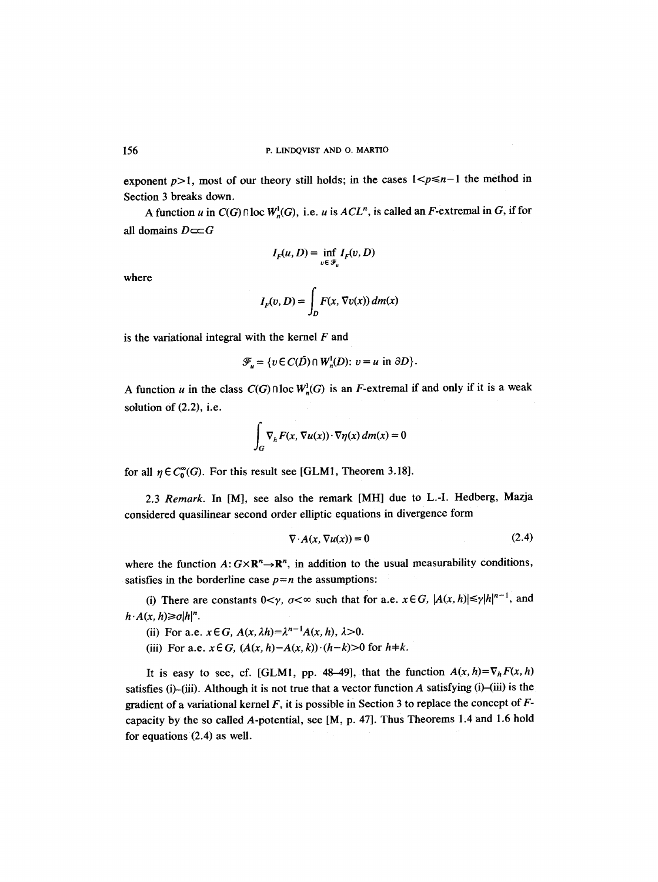exponent  $p>1$ , most of our theory still holds; in the cases  $1 < p \le n-1$  the method in Section 3 breaks down.

A function u in  $C(G) \cap \text{loc } W^1(G)$ , i.e. u is  $ACL^n$ , is called an F-extremal in G, if for all domains  $D \subset\subset G$ 

$$
I_F(u, D) = \inf_{v \in \mathcal{F}_u} I_F(v, D)
$$

where

$$
I_F(v, D) = \int_D F(x, \nabla v(x)) \, dm(x)
$$

is the variational integral with the kernel  $F$  and

$$
\mathcal{F}_u = \{ v \in C(\overline{D}) \cap W_n^1(D) : v = u \text{ in } \partial D \}.
$$

A function u in the class  $C(G) \cap \text{loc } W^1(G)$  is an F-extremal if and only if it is a weak solution of **(2.2), i.e.** 

$$
\int_G \nabla_h F(x, \nabla u(x)) \cdot \nabla \eta(x) \, dm(x) = 0
$$

for all  $\eta \in C_0^{\infty}(G)$ . For this result see [GLM1, Theorem 3.18].

2.3 *Remark.* In [M], see also the remark [MH] due to L.-I. Hedberg, Mazja considered quasilinear second order elliptic equations in divergence form

$$
\nabla \cdot A(x, \nabla u(x)) = 0 \tag{2.4}
$$

where the function  $A: G \times \mathbb{R}^n \to \mathbb{R}^n$ , in addition to the usual measurability conditions, satisfies in the borderline case  $p=n$  the assumptions:

(i) There are constants  $0<\gamma$ ,  $\sigma<\infty$  such that for a.e.  $x \in G$ ,  $|A(x, h)| \leq \gamma |h|^{n-1}$ , and  $h \cdot A(x, h) \geq \sigma |h|^n$ .

- (ii) For a.e.  $x \in G$ ,  $A(x, \lambda h) = \lambda^{n-1} A(x, h)$ ,  $\lambda > 0$ .
- (iii) For a.e.  $x \in G$ ,  $(A(x, h) A(x, k)) \cdot (h k) > 0$  for  $h \neq k$ .

It is easy to see, cf. [GLM1, pp. 48-49], that the function  $A(x, h) = \nabla_h F(x, h)$ satisfies (i)-(iii). Although it is not true that a vector function  $A$  satisfying (i)-(iii) is the gradient of a variational kernel  $F$ , it is possible in Section 3 to replace the concept of  $F$ capacity by the so called A-potential, see [M, p. 47]. Thus Theorems 1,4 and 1.6 hold for equations (2.4) as well.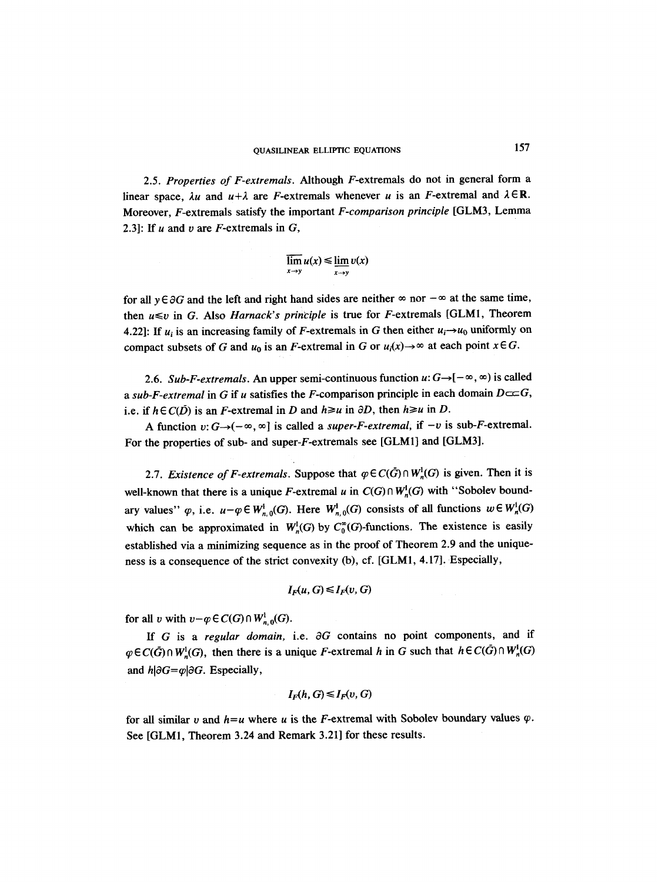## QUASILINEAR ELLIPTIC EQUATIONS 157

2.5. *Properties of F-extremals.* Although F-extremals do not in general form a linear space,  $\lambda u$  and  $u+\lambda$  are *F*-extremals whenever u is an *F*-extremal and  $\lambda \in \mathbb{R}$ . Moreover, F-extremals satisfy the important *F-comparison principle* [GLM3, Lemma 2.3]: If  $u$  and  $v$  are  $F$ -extremals in  $G$ ,

$$
\overline{\lim}_{x\to y} u(x) \le \underline{\lim}_{x\to y} v(x)
$$

for all  $y \in \partial G$  and the left and right hand sides are neither  $\infty$  nor  $-\infty$  at the same time, then  $u \leq v$  in G. Also *Harnack's principle* is true for *F*-extremals [GLM1, Theorem 4.22]: If  $u_i$  is an increasing family of F-extremals in G then either  $u_i \rightarrow u_0$  uniformly on compact subsets of G and  $u_0$  is an F-extremal in G or  $u_i(x) \to \infty$  at each point  $x \in G$ .

2.6. *Sub-F-extremals.* An upper semi-continuous function  $u: G \rightarrow [-\infty, \infty)$  is called *a sub-F-extremal* in G if u satisfies the F-comparison principle in each domain  $D \subset \subset G$ , i.e. if  $h \in C(D)$  is an *F*-extremal in *D* and  $h \ge u$  in  $\partial D$ , then  $h \ge u$  in *D*.

A function  $v: G \rightarrow (-\infty, \infty]$  is called a *super-F-extremal*, if  $-v$  is sub-F-extremal. For the properties of sub- and super-F-extremals see [GLM1] and [GLM3].

2.7. *Existence of F-extremals.* Suppose that  $\varphi \in C(\bar{G}) \cap W^1$ <sub>*n*</sub>(G) is given. Then it is well-known that there is a unique F-extremal u in  $C(G) \cap W^1$ <sub>n</sub>(G) with "Sobolev boundary values"  $\varphi$ , i.e.  $u-\varphi \in W^1_{n,0}(G)$ . Here  $W^1_{n,0}(G)$  consists of all functions  $w \in W^1_n(G)$ which can be approximated in  $W^1_n(G)$  by  $C_0^{\infty}(G)$ -functions. The existence is easily established via a minimizing sequence as in the proof of Theorem 2.9 and the uniqueness is a consequence of the strict convexity (b), cf. [GLM1, 4.17]. Especially,

$$
I_F(u,G)\leq I_F(v,G)
$$

for all v with  $v-q \in C(G) \cap W^1_{n,0}(G)$ .

If G is a *regular domain*, i.e.  $\partial G$  contains no point components, and if  $\varphi \in C(\bar{G}) \cap W^1_{n}(G)$ , then there is a unique F-extremal h in G such that  $h \in C(\bar{G}) \cap W^1_{n}(G)$ and  $h|\partial G = \varphi|\partial G$ . Especially,

$$
I_F(h,G) \leq I_F(v,G)
$$

for all similar v and  $h = u$  where u is the F-extremal with Sobolev boundary values  $\varphi$ . See [GLM1, Theorem 3.24 and Remark 3.21] for these results.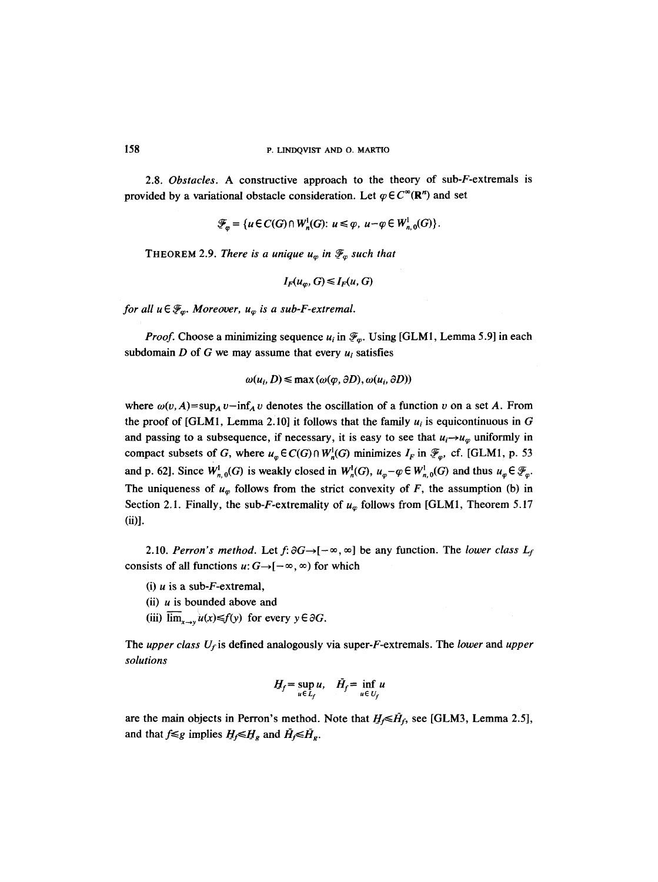2.8. *Obstacles.* A constructive approach to the theory of sub-F-extremals is provided by a variational obstacle consideration. Let  $\varphi \in C^{\infty}(\mathbb{R}^n)$  and set

$$
\mathscr{F}_{\varphi} = \{u \in C(G) \cap W_n^1(G): u \leq \varphi, u - \varphi \in W_{n,0}^1(G)\}.
$$

**THEOREM 2.9.** *There is a unique*  $u_{\varphi}$  *in*  $\mathscr{F}_{\varphi}$  *such that* 

$$
I_F(u_\varphi, G) \leq I_F(u, G)
$$

*for all*  $u \in \mathcal{F}_{\alpha}$ *. Moreover,*  $u_{\alpha}$  *is a sub-F-extremal.* 

*Proof.* Choose a minimizing sequence  $u_i$  in  $\mathcal{F}_{\varphi}$ . Using [GLM1, Lemma 5.9] in each subdomain  $D$  of  $G$  we may assume that every  $u_i$  satisfies

$$
\omega(u_i, D) \le \max(\omega(\varphi, \partial D), \omega(u_i, \partial D))
$$

where  $\omega(v, A) = \sup_A v - \inf_A v$  denotes the oscillation of a function v on a set A. From the proof of [GLM1, Lemma 2.10] it follows that the family  $u_i$  is equicontinuous in G and passing to a subsequence, if necessary, it is easy to see that  $u_i \rightarrow u_{\varphi}$  uniformly in compact subsets of G, where  $u_{\varphi} \in C(G) \cap W^1_{\mathfrak{n}}(G)$  minimizes  $I_F$  in  $\mathscr{F}_{\varphi}$ , cf. [GLM1, p. 53] and p. 62]. Since  $W^1_{n,0}(G)$  is weakly closed in  $W^1_n(G)$ ,  $u_{\varphi}-\varphi \in W^1_{n,0}(G)$  and thus  $u_{\varphi} \in \mathcal{F}_{\varphi}$ . The uniqueness of  $u_{\varphi}$  follows from the strict convexity of F, the assumption (b) in Section 2.1. Finally, the sub-F-extremality of  $u_{\varphi}$  follows from [GLM1, Theorem 5.17 (ii)].

2.10. *Perron's method.* Let  $f: \partial G \rightarrow [-\infty, \infty]$  be any function. The *lower class*  $L_f$ consists of all functions  $u: G \rightarrow [-\infty, \infty)$  for which

- (i)  $u$  is a sub-F-extremal,
- (ii)  $u$  is bounded above and
- (iii)  $\overline{\lim}_{x\to y}u(x) \leq f(y)$  for every  $y \in \partial G$ .

The *upper class*  $U_f$  is defined analogously via super-F-extremals. The *lower* and *upper solutions* 

$$
H_f = \sup_{u \in L_f} u, \quad \bar{H}_f = \inf_{u \in U_f} u
$$

are the main objects in Perron's method. Note that  $H_f \leq \tilde{H}_f$ , see [GLM3, Lemma 2.5], and that  $f \leq g$  implies  $H_f \leq H_g$  and  $\overline{H}_f \leq \overline{H}_g$ .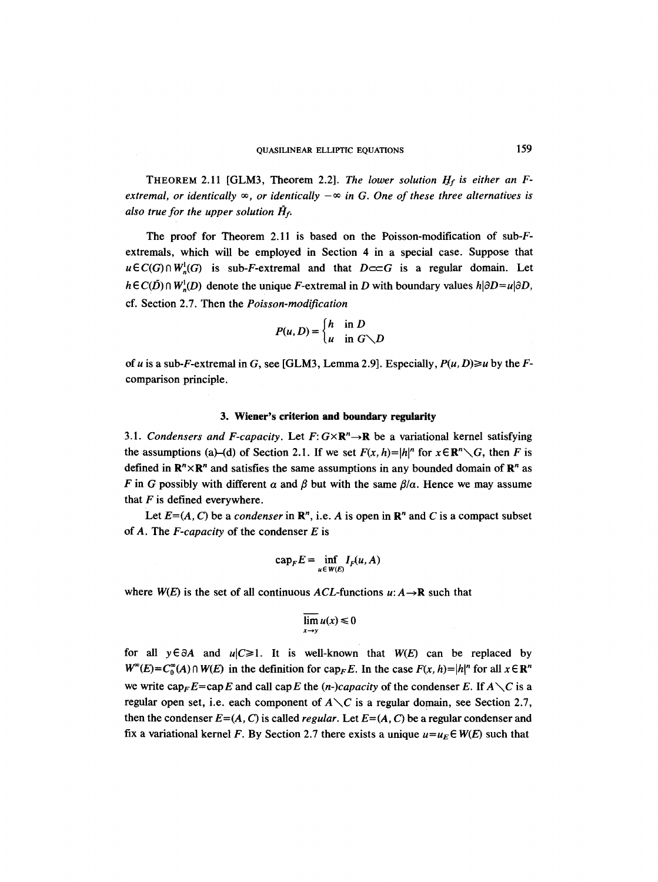THEOREM 2.11 [GLM3, Theorem 2.2]. *The lower solution H\_y is either an Fextremal, or identically*  $\infty$ *, or identically*  $-\infty$  *in G. One of these three alternatives is also true for the upper solution*  $\tilde{H}_{f}$ *.* 

The proof for Theorem 2.11 is based on the Poisson-modification of sub-Fextremals, which will be employed in Section 4 in a special case. Suppose that  $u \in C(G) \cap W^1$ <sub>n</sub> $(G)$  is sub-*F*-extremal and that  $D \subset C$  is a regular domain. Let  $h \in C(D) \cap W_n^1(D)$  denote the unique F-extremal in D with boundary values  $h | \partial D = u | \partial D$ , cf. Section 2.7. Then the *Poisson-modification* 

$$
P(u, D) = \begin{cases} h & \text{in } D \\ u & \text{in } G \setminus D \end{cases}
$$

of u is a sub-F-extremal in G, see [GLM3, Lemma 2.9]. Especially,  $P(u, D) \ge u$  by the Fcomparison principle.

#### **3. Wiener's criterion and boundary** regularity

3.1. *Condensers and F-capacity*. Let  $F: G \times \mathbb{R}^n \rightarrow \mathbb{R}$  be a variational kernel satisfying the assumptions (a)–(d) of Section 2.1. If we set  $F(x, h)=|h|^{n}$  for  $x \in \mathbb{R}^{n} \setminus G$ , then F is defined in  $\mathbb{R}^n \times \mathbb{R}^n$  and satisfies the same assumptions in any bounded domain of  $\mathbb{R}^n$  as F in G possibly with different  $\alpha$  and  $\beta$  but with the same  $\beta/\alpha$ . Hence we may assume that  $F$  is defined everywhere.

Let  $E=(A, C)$  be a *condenser* in  $\mathbb{R}^n$ , i.e. A is open in  $\mathbb{R}^n$  and C is a compact subset of A. The *F-capacity* of the condenser E is

$$
\mathrm{cap}_F E = \inf_{u \in W(E)} I_F(u, A)
$$

where  $W(E)$  is the set of all continuous  $\Lambda CL$ -functions  $u: A \rightarrow \mathbb{R}$  such that

$$
\overline{\lim}_{x\to y} u(x) \leq 0
$$

for all  $y \in \partial A$  and  $u|C \ge 1$ . It is well-known that  $W(E)$  can be replaced by  $W^{\infty}(E) = C_0^{\infty}(A) \cap W(E)$  in the definition for cap<sub>F</sub> E. In the case  $F(x, h) = |h|^n$  for all  $x \in \mathbb{R}^n$ we write  $cap<sub>F</sub>E=cap E$  and call capE the *(n-)capacity* of the condenser E. If  $A\setminus C$  is a regular open set, i.e. each component of  $A \setminus C$  is a regular domain, see Section 2.7, then the condenser  $E=(A, C)$  is called *regular*. Let  $E=(A, C)$  be a regular condenser and fix a variational kernel F. By Section 2.7 there exists a unique  $u=u_E \in W(E)$  such that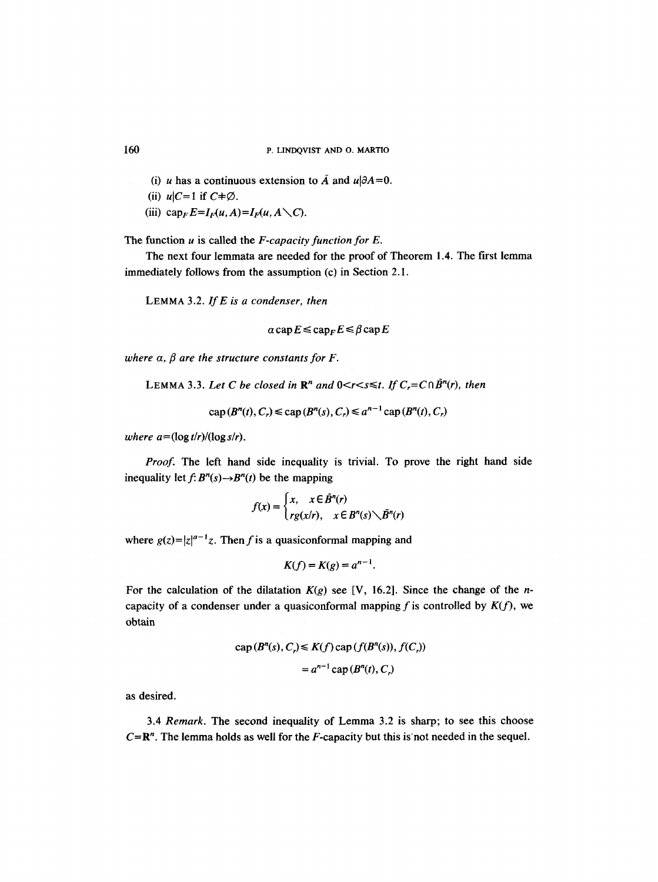- (i) u has a continuous extension to  $\overline{A}$  and  $u|\partial A=0$ .
- (ii)  $u|C=1$  if  $C\neq\emptyset$ .
- (iii)  $cap_F E=I_F(u, A)=I_F(u, A \setminus C)$ .

The function u is called the *F-capacity function for E.* 

The next four lemmata are needed for the proof of Theorem 1.4. The first lemma immediately follows from the assumption (c) in Section 2.1.

LEMMA 3.2. *If E is a condenser, then* 

 $a$  cap  $E \leq$  cap<sub>F</sub> $E \leq \beta$  cap  $E$ 

*where*  $\alpha$ *,*  $\beta$  *are the structure constants for F.* 

LEMMA 3.3. Let C be closed in  $\mathbb{R}^n$  and  $0 \le r \le s \le t$ . If  $C_r = C \cap \bar{B}^n(r)$ , then

 $cap (B<sup>n</sup>(t), C<sub>r</sub>) \leq cap (B<sup>n</sup>(s), C<sub>r</sub>) \leq a<sup>n-1</sup> cap (B<sup>n</sup>(t), C<sub>r</sub>)$ 

*where*  $a = (\log t/r)/(\log s/r)$ *.* 

*Proof.* The left hand side inequality is trivial. To prove the right hand side inequality let  $f: B<sup>n</sup>(s) \rightarrow B<sup>n</sup>(t)$  be the mapping

$$
f(x) = \begin{cases} x, & x \in \overline{B}^n(r) \\ rg(x/r), & x \in B^n(s) \diagdown \overline{B}^n(r) \end{cases}
$$

where  $g(z) = |z|^{a-1}z$ . Then f is a quasiconformal mapping and

$$
K(f) = K(g) = a^{n-1}.
$$

For the calculation of the dilatation  $K(g)$  see [V, 16.2]. Since the change of the *n*capacity of a condenser under a quasiconformal mapping f is controlled by  $K(f)$ , we obtain

$$
\operatorname{cap}(B^n(s), C_r) \le K(f) \operatorname{cap}(f(B^n(s)), f(C_r))
$$

$$
= a^{n-1} \operatorname{cap}(B^n(t), C_r)
$$

as desired.

3.4 *Remark.* The second inequality of Lemma 3.2 is sharp; to see this choose  $C = \mathbb{R}^n$ . The lemma holds as well for the *F*-capacity but this is not needed in the sequel.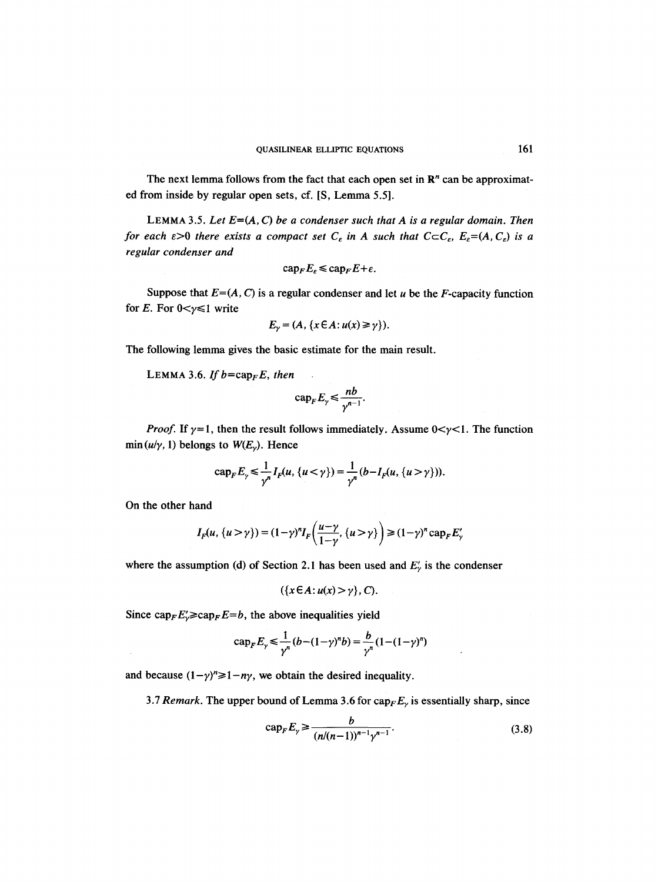The next lemma follows from the fact that each open set in  $\mathbb{R}^n$  can be approximated from inside by regular open sets, cf. [S, Lemma 5.5].

LEMMA 3.5. Let  $E=(A, C)$  be a condenser such that A is a regular domain. Then *for each*  $\epsilon > 0$  *there exists a compact set*  $C_{\epsilon}$  *in A such that*  $C \subset C_{\epsilon}$ ,  $E_{\epsilon} = (A, C_{\epsilon})$  *is a regular condenser and* 

$$
\mathrm{cap}_F E_{\varepsilon} \leqslant \mathrm{cap}_F E + \varepsilon.
$$

Suppose that  $E=(A, C)$  is a regular condenser and let u be the F-capacity function for E. For  $0 < y \le 1$  write

$$
E_{\gamma} = (A, \{x \in A : u(x) \ge \gamma\}).
$$

The following lemma gives the basic estimate for the main result.

LEMMA 3.6. If  $b = \text{cap}_F E$ , then

$$
\operatorname{cap}_F E_\gamma \leqslant \frac{nb}{\gamma^{n-1}}.
$$

*Proof.* If  $\gamma = 1$ , then the result follows immediately. Assume  $0 < \gamma < 1$ . The function  $\min(u/\gamma, 1)$  belongs to  $W(E_{\gamma})$ . Hence

$$
\mathrm{cap}_F E_\gamma \leq \frac{1}{\gamma^n} I_F(u, \{u < \gamma\}) = \frac{1}{\gamma^n} (b - I_F(u, \{u > \gamma\})).
$$

On the other hand

$$
I_F(u, \{u > \gamma\}) = (1 - \gamma)^n I_F\left(\frac{u - \gamma}{1 - \gamma}, \{u > \gamma\}\right) \ge (1 - \gamma)^n \operatorname{cap}_F E'_\gamma
$$

where the assumption (d) of Section 2.1 has been used and  $E'_{\gamma}$  is the condenser

$$
(\{x \in A : u(x) > \gamma\}, C).
$$

Since  $\text{cap}_F E'_{\gamma} \geq \text{cap}_F E = b$ , the above inequalities yield

$$
\text{cap}_F E_\gamma \le \frac{1}{\gamma^n} (b - (1 - \gamma)^n b) = \frac{b}{\gamma^n} (1 - (1 - \gamma)^n)
$$

and because  $(1 - \gamma)^n \ge 1 - n\gamma$ , we obtain the desired inequality.

3.7 Remark. The upper bound of Lemma 3.6 for  $cap_F E_\gamma$  is essentially sharp, since

$$
\text{cap}_F E_\gamma \ge \frac{b}{(n/(n-1))^{n-1} \gamma^{n-1}}.
$$
 (3.8)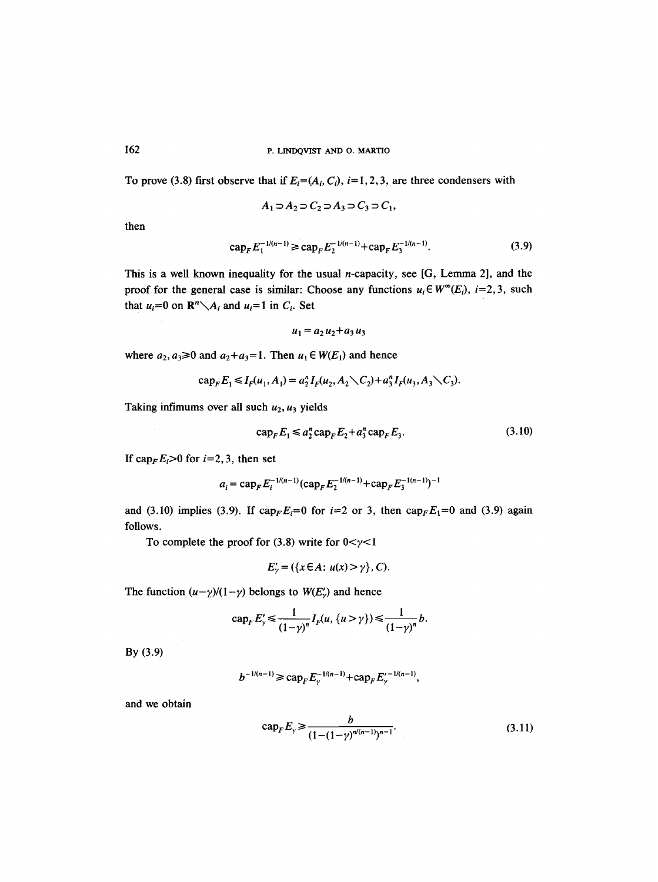To prove (3.8) first observe that if  $E_i = (A_i, C_i)$ ,  $i = 1, 2, 3$ , are three condensers with

$$
A_1 \supset A_2 \supset C_2 \supset A_3 \supset C_3 \supset C_1,
$$

then

$$
\operatorname{cap}_F E_1^{-1/(n-1)} \ge \operatorname{cap}_F E_2^{-1/(n-1)} + \operatorname{cap}_F E_3^{-1/(n-1)}.\tag{3.9}
$$

This is a well known inequality for the usual n-capacity, see [G, Lemma 2], and the proof for the general case is similar: Choose any functions  $u_i \in W^{\infty}(E_i)$ ,  $i=2,3$ , such that  $u_i=0$  on  $\mathbb{R}^n \setminus A_i$  and  $u_i=1$  in  $C_i$ . Set

$$
u_1 = a_2 u_2 + a_3 u_3
$$

where  $a_2, a_3 \ge 0$  and  $a_2 + a_3 = 1$ . Then  $u_1 \in W(E_1)$  and hence

$$
\mathrm{cap}_F E_1 \leq I_F(u_1, A_1) = a_2^n I_F(u_2, A_2 \setminus C_2) + a_3^n I_F(u_3, A_3 \setminus C_3).
$$

Taking infimums over all such  $u_2$ ,  $u_3$  yields

$$
\operatorname{cap}_F E_1 \le a_2^n \operatorname{cap}_F E_2 + a_3^n \operatorname{cap}_F E_3. \tag{3.10}
$$

If cap<sub>F</sub> $E_i > 0$  for  $i=2, 3$ , then set

$$
a_i = \operatorname{cap}_F E_i^{-1/(n-1)}(\operatorname{cap}_F E_2^{-1/(n-1)} + \operatorname{cap}_F E_3^{-1(n-1)})^{-1}
$$

and (3.10) implies (3.9). If  $cap_F E_i=0$  for  $i=2$  or 3, then  $cap_F E_1=0$  and (3.9) again follows.

To complete the proof for  $(3.8)$  write for  $0 < \gamma < 1$ 

$$
E'_{\gamma} = (\{x \in A : u(x) > \gamma\}, C).
$$

The function  $(u-\gamma)/(1-\gamma)$  belongs to  $W(E'_\nu)$  and hence

$$
\operatorname{cap}_F E'_{\gamma} \leq \frac{1}{(1-\gamma)^n} I_F(u, \{u > \gamma\}) \leq \frac{1}{(1-\gamma)^n} b.
$$

By (3.9)

$$
b^{-1/(n-1)} \geqslant \mathrm{cap}_F E_{\gamma}^{-1/(n-1)} + \mathrm{cap}_F E_{\gamma}'^{-1/(n-1)},
$$

and we obtain

$$
\operatorname{cap}_F E_\gamma \ge \frac{b}{(1 - (1 - \gamma)^{n/(n-1)})^{n-1}}.\tag{3.11}
$$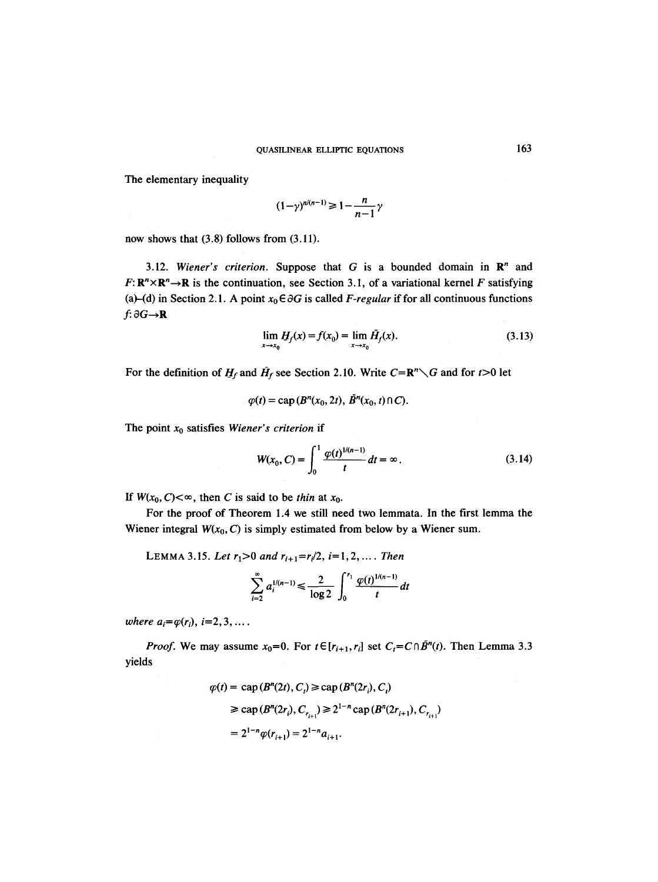The elementary inequality

$$
(1-\gamma)^{n/(n-1)} \geq 1 - \frac{n}{n-1}\gamma
$$

now shows that (3.8) follows from (3.11).

3.12. *Wiener's criterion.* Suppose that  $G$  is a bounded domain in  $\mathbb{R}^n$  and  $F: \mathbb{R}^n \times \mathbb{R}^n \to \mathbb{R}$  is the continuation, see Section 3.1, of a variational kernel F satisfying (a)-(d) in Section 2.1. A point  $x_0 \in \partial G$  is called *F-regular* if for all continuous functions  $f: \partial G \rightarrow \mathbf{R}$ 

$$
\lim_{x \to x_0} H_f(x) = f(x_0) = \lim_{x \to x_0} \bar{H}_f(x).
$$
\n(3.13)

For the definition of  $H_f$  and  $H_f$  see Section 2.10. Write  $C=R^n\setminus G$  and for  $t>0$  let

$$
\varphi(t) = \text{cap}(B^n(x_0, 2t), \bar{B}^n(x_0, t) \cap C).
$$

The point  $x_0$  satisfies *Wiener's criterion* if

$$
W(x_0, C) = \int_0^1 \frac{\varphi(t)^{1/(n-1)}}{t} dt = \infty.
$$
 (3.14)

If  $W(x_0, C) < \infty$ , then C is said to be *thin* at  $x_0$ .

For the proof of Theorem 1.4 we still need two lemmata. In the first lemma the Wiener integral  $W(x_0, C)$  is simply estimated from below by a Wiener sum.

LEMMA 3.15. Let  $r_1>0$  and  $r_{i+1}=r_i/2$ ,  $i=1,2,...$  *Then* 

$$
\sum_{i=2}^{\infty} a_i^{1/(n-1)} \leq \frac{2}{\log 2} \int_0^{r_1} \frac{\varphi(t)^{1/(n-1)}}{t} dt
$$

*where*  $a_i = \varphi(r_i)$ ,  $i = 2, 3, \ldots$ .

*Proof.* We may assume  $x_0=0$ . For  $t \in [r_{i+1}, r_i]$  set  $C_t=C \cap \tilde{B}^n(t)$ . Then Lemma 3.3 yields

$$
\varphi(t) = \text{cap}(B^n(2t), C_i) \ge \text{cap}(B^n(2r_i), C_i)
$$
  
\n
$$
\ge \text{cap}(B^n(2r_i), C_{r_{i+1}}) \ge 2^{1-n} \text{cap}(B^n(2r_{i+1}), C_{r_{i+1}})
$$
  
\n
$$
= 2^{1-n} \varphi(r_{i+1}) = 2^{1-n} a_{i+1}.
$$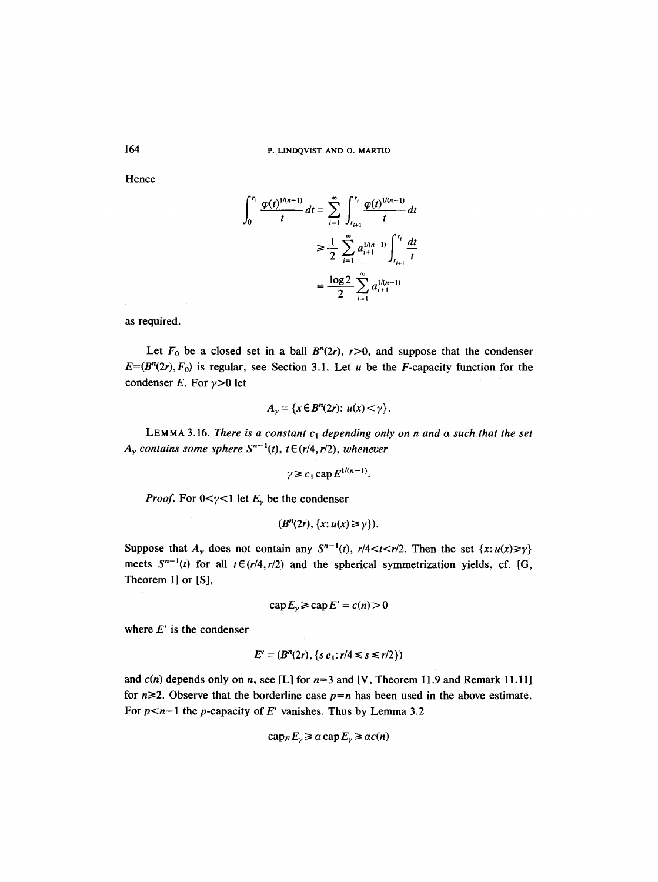P. LINDQVIST AND O. MARTIO

**Hence** 

$$
\int_0^{r_1} \frac{\varphi(t)^{1/(n-1)}}{t} dt = \sum_{i=1}^{\infty} \int_{r_{i+1}}^{r_i} \frac{\varphi(t)^{1/(n-1)}}{t} dt
$$

$$
\geq \frac{1}{2} \sum_{i=1}^{\infty} a_{i+1}^{1/(n-1)} \int_{r_{i+1}}^{r_i} \frac{dt}{t}
$$

$$
= \frac{\log 2}{2} \sum_{i=1}^{\infty} a_{i+1}^{1/(n-1)}
$$

as required.

Let  $F_0$  be a closed set in a ball  $B^n(2r)$ ,  $r>0$ , and suppose that the condenser  $E=(B<sup>n</sup>(2r),F<sub>0</sub>)$  is regular, see Section 3.1. Let u be the F-capacity function for the condenser E. For  $\gamma > 0$  let

$$
A_{\gamma} = \{x \in B^n(2r): u(x) < \gamma\}.
$$

LEMMA 3.16. *There is a constant*  $c_1$  depending only on n and a such that the set  $A_{\gamma}$  contains some sphere  $S^{n-1}(t)$ ,  $t \in (r/4, r/2)$ , whenever

$$
\gamma \geq c_1 \operatorname{cap} E^{1/(n-1)}.
$$

*Proof.* For  $0 < \gamma < 1$  let  $E_{\gamma}$  be the condenser

$$
(Bn(2r), \{x: u(x) \geq \gamma\}).
$$

Suppose that  $A_{\gamma}$  does not contain any  $S^{n-1}(t)$ ,  $r/4 < t < r/2$ . Then the set  $\{x: u(x) \ge \gamma\}$ meets  $S^{n-1}(t)$  for all  $t \in (r/4, r/2)$  and the spherical symmetrization yields, cf. [G, Theorem 1] or [S],

$$
\operatorname{cap} E_{\gamma} \geq \operatorname{cap} E' = c(n) > 0
$$

where  $E'$  is the condenser

$$
E' = (B^n(2r), \{s e_1 : r/4 \le s \le r/2\})
$$

and  $c(n)$  depends only on n, see [L] for  $n=3$  and [V, Theorem 11.9 and Remark 11.11] for  $n\geq 2$ . Observe that the borderline case  $p=n$  has been used in the above estimate. For  $p < n-1$  the p-capacity of *E'* vanishes. Thus by Lemma 3.2

$$
\operatorname{cap}_F E_\gamma \ge \alpha \operatorname{cap} E_\gamma \ge \alpha c(n)
$$

164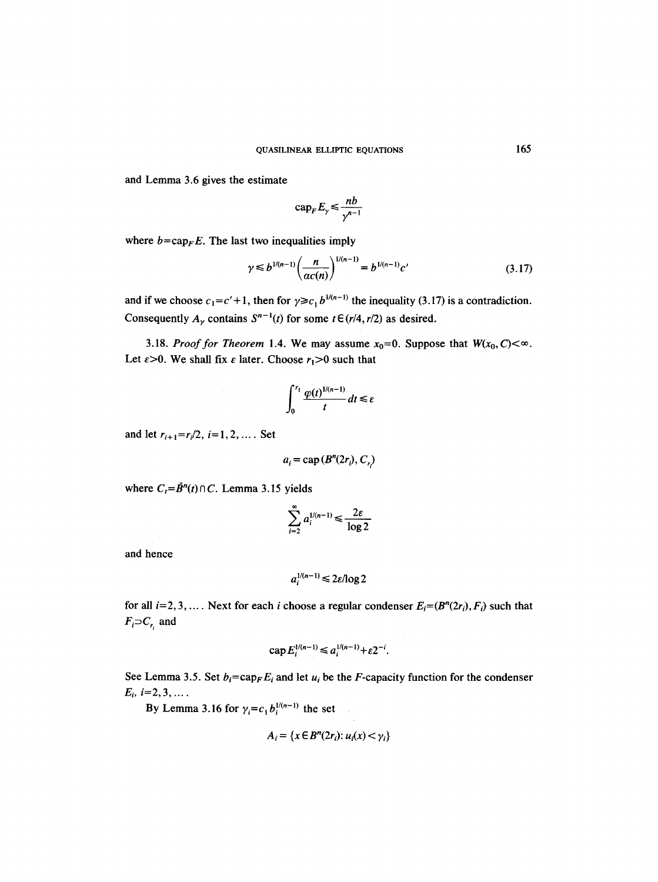and Lemma 3.6 gives the estimate

$$
\mathrm{cap}_F E_\gamma \leqslant \frac{nb}{\gamma^{n-1}}
$$

where  $b = cap$ <sub>F</sub>E. The last two inequalities imply

$$
\gamma \leq b^{1/(n-1)} \left( \frac{n}{\alpha c(n)} \right)^{1/(n-1)} = b^{1/(n-1)} c' \tag{3.17}
$$

and if we choose  $c_1 = c' + 1$ , then for  $\gamma \ge c_1 b^{1/(n-1)}$  the inequality (3.17) is a contradiction. Consequently  $A_{\gamma}$  contains  $S^{n-1}(t)$  for some  $t \in (r/4, r/2)$  as desired.

3.18. *Proof for Theorem* 1.4. We may assume  $x_0=0$ . Suppose that  $W(x_0, C) < \infty$ . Let  $\varepsilon > 0$ . We shall fix  $\varepsilon$  later. Choose  $r_1 > 0$  such that

$$
\int_0^{r_1} \frac{\varphi(t)^{1/(n-1)}}{t} dt \leq \varepsilon
$$

and let  $r_{i+1} = r_i/2$ ,  $i = 1, 2, ...$  Set

$$
a_i = \text{cap}(B^n(2r_i), C_{r_i})
$$

where  $C_t = \bar{B}^n(t) \cap C$ . Lemma 3.15 yields

$$
\sum_{i=2}^{\infty} a_i^{1/(n-1)} \leq \frac{2\varepsilon}{\log 2}
$$

and hence

$$
a_i^{1/(n-1)} \leq 2\varepsilon/\log 2
$$

for all  $i=2, 3, \ldots$ . Next for each i choose a regular condenser  $E_i=(B^n(2r_i), F_i)$  such that  $F_i \supset C_{r_i}$  and

$$
\exp E_i^{1/(n-1)} \le a_i^{1/(n-1)} + \varepsilon 2^{-i}.
$$

See Lemma 3.5. Set  $b_i = \text{cap}_F E_i$  and let  $u_i$  be the *F*-capacity function for the condenser  $E_i$ ,  $i=2,3,...$ .

By Lemma 3.16 for  $\gamma_i = c_1 b_i^{1/(n-1)}$  the set

$$
A_i = \{x \in B^n(2r_i): u_i(x) < \gamma_i\}
$$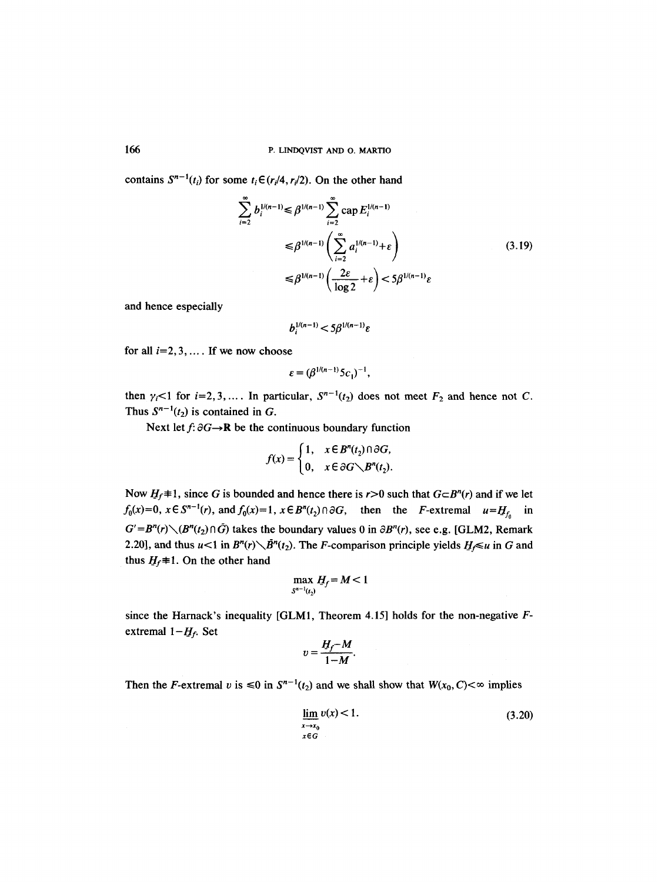contains  $S^{n-1}(t_i)$  for some  $t_i \in (r_i/4, r_i/2)$ . On the other hand

$$
\sum_{i=2}^{\infty} b_i^{1/(n-1)} \leq \beta^{1/(n-1)} \sum_{i=2}^{\infty} \text{cap } E_i^{1/(n-1)}
$$
  
\n
$$
\leq \beta^{1/(n-1)} \left( \sum_{i=2}^{\infty} a_i^{1/(n-1)} + \varepsilon \right)
$$
  
\n
$$
\leq \beta^{1/(n-1)} \left( \frac{2\varepsilon}{\log 2} + \varepsilon \right) < 5\beta^{1/(n-1)} \varepsilon
$$
\n(3.19)

and hence especially

$$
b_i^{1/(n-1)} < 5\beta^{1/(n-1)}\varepsilon
$$

for all  $i=2, 3, \ldots$ . If we now choose

$$
\varepsilon = (\beta^{1/(n-1)} 5c_1)^{-1},
$$

then  $\gamma_i$ <1 for *i*=2,3,.... In particular,  $S^{n-1}(t_2)$  does not meet  $F_2$  and hence not C. Thus  $S^{n-1}(t_2)$  is contained in G.

Next let  $f: \partial G \rightarrow \mathbf{R}$  be the continuous boundary function

$$
f(x) = \begin{cases} 1, & x \in B^n(t_2) \cap \partial G, \\ 0, & x \in \partial G \setminus B^n(t_2). \end{cases}
$$

Now  $H_f \neq 1$ , since G is bounded and hence there is r>0 such that  $G \subset B^n(r)$  and if we let  $f_0(x)=0$ ,  $x \in S^{n-1}(r)$ , and  $f_0(x)=1$ ,  $x \in B^n(t_2) \cap \partial G$ , then the *F*-extremal  $u=H_{f_0}$  in  $G' = B^n(r) \setminus (B^n(t_2) \cap \tilde{G})$  takes the boundary values 0 in  $\partial B^n(r)$ , see e.g. [GLM2, Remark] 2.20], and thus  $u<1$  in  $B^n(r)\setminus \bar{B}^n(t_2)$ . The *F*-comparison principle yields  $H_f\leq u$  in G and thus  $H_f$ #1. On the other hand

$$
\max_{S^{n-1}(t_2)} H_f = M < 1
$$

since the Harnack's inequality [GLM1, Theorem 4.15] holds for the non-negative Fextremal  $1-H_f$ . Set

$$
v=\frac{H_f-M}{1-M}.
$$

Then the F-extremal v is  $\leq 0$  in  $S^{n-1}(t_2)$  and we shall show that  $W(x_0, C) < \infty$  implies

$$
\lim_{\substack{x \to x_0 \\ x \in G}} v(x) < 1. \tag{3.20}
$$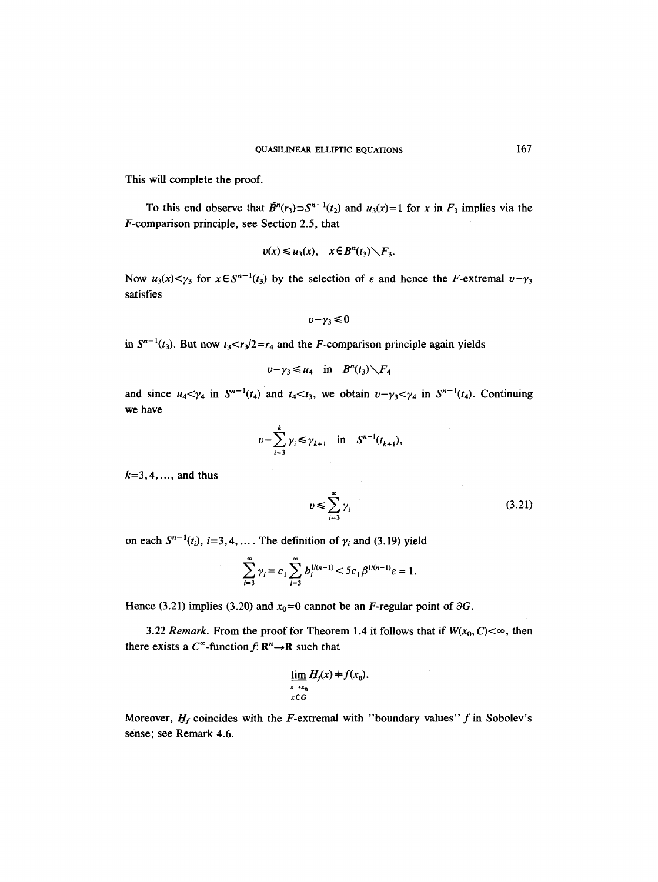This will complete the proof.

To this end observe that  $\tilde{B}^n(r_3) \supset S^{n-1}(t_2)$  and  $u_3(x)=1$  for x in  $F_3$  implies via the F-comparison principle, see Section 2.5, that

$$
v(x) \leq u_3(x), \quad x \in B^n(t_3) \setminus F_3.
$$

Now  $u_3(x) < y_3$  for  $x \in S^{n-1}(t_3)$  by the selection of  $\varepsilon$  and hence the F-extremal  $v-y_3$ satisfies

$$
v-\gamma_3\leq 0
$$

in  $S^{n-1}(t_3)$ . But now  $t_3 < r_3/2 = r_4$  and the *F*-comparison principle again yields

$$
v-\gamma_3\leq u_4\quad\text{in}\quad B^n(t_3)\setminus F_4
$$

and since  $u_4 < \gamma_4$  in  $S^{n-1}(t_4)$  and  $t_4 < t_3$ , we obtain  $v - \gamma_3 < \gamma_4$  in  $S^{n-1}(t_4)$ . Continuing we have

$$
v - \sum_{i=3}^{k} \gamma_i \le \gamma_{k+1}
$$
 in  $S^{n-1}(t_{k+1}),$ 

 $k=3,4,...,$  and thus

$$
v \le \sum_{i=3}^{\infty} \gamma_i \tag{3.21}
$$

on each  $S^{n-1}(t_i)$ ,  $i=3, 4, \ldots$ . The definition of  $\gamma_i$  and (3.19) yield

$$
\sum_{i=3}^{\infty} \gamma_i = c_1 \sum_{i=3}^{\infty} b_i^{1/(n-1)} < 5c_1 \beta^{1/(n-1)} \varepsilon = 1.
$$

Hence (3.21) implies (3.20) and  $x_0=0$  cannot be an *F*-regular point of  $\partial G$ .

3.22 *Remark*. From the proof for Theorem 1.4 it follows that if  $W(x_0, C) < \infty$ , then there exists a  $C^{\infty}$ -function  $f: \mathbb{R}^{n} \rightarrow \mathbb{R}$  such that

$$
\lim_{\substack{x \to x_0 \\ x \in G}} H_f(x) = f(x_0).
$$

Moreover,  $H_f$  coincides with the F-extremal with "boundary values" f in Sobolev's sense; see Remark 4.6.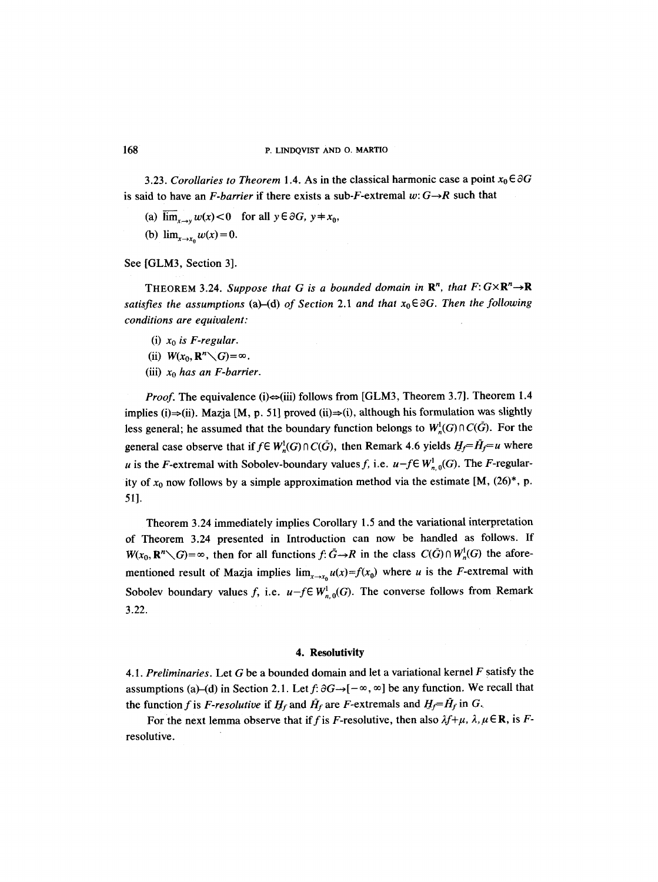#### 168 P. LINDQVIST AND O. MARTIO

3.23. *Corollaries to Theorem* 1.4. As in the classical harmonic case a point  $x_0 \in \partial G$ is said to have an *F-barrier* if there exists a sub-*F*-extremal  $w: G \rightarrow R$  such that

- (a)  $\overline{\lim}_{x\to y} w(x) < 0$  for all  $y \in \partial G$ ,  $y \neq x_0$ ,
- (b)  $\lim_{x \to x_0} w(x) = 0.$

See [GLM3, Section 3].

THEOREM 3.24. *Suppose that G is a bounded domain in*  $\mathbb{R}^n$ *, that*  $F: G \times \mathbb{R}^n \rightarrow \mathbb{R}$ *satisfies the assumptions (a)–(d) of Section 2.1 and that*  $x_0 \in \partial G$ . Then the following *conditions are equivalent:* 

- (i) *Xo is F-regular.*
- (ii)  $W(x_0, \mathbb{R}^n \setminus G) = \infty$ .
- (iii) *Xo has an F-barrier.*

*Proof.* The equivalence (i) $\Leftrightarrow$ (iii) follows from [GLM3, Theorem 3.7]. Theorem 1.4 implies (i) $\Rightarrow$ (ii). Mazja [M, p. 51] proved (ii) $\Rightarrow$ (i), although his formulation was slightly less general; he assumed that the boundary function belongs to  $W_n^1(G) \cap C(\tilde{G})$ . For the general case observe that if  $f \in W_n^1(G) \cap C(\bar{G})$ , then Remark 4.6 yields  $H_f = \bar{H}_f = u$  where u is the F-extremal with Sobolev-boundary values f, i.e.  $u-f \in W^1_{n,0}(G)$ . The F-regularity of  $x_0$  now follows by a simple approximation method via the estimate [M, (26)\*, p. 51].

Theorem 3.24 immediately implies Corollary 1.5 and the variational interpretation of Theorem 3.24 presented in Introduction can now be handled as follows. If  $W(x_0, \mathbf{R}^n \setminus G) = \infty$ , then for all functions  $f: \bar{G} \to \bar{R}$  in the class  $C(\bar{G}) \cap W^1_n(G)$  the aforementioned result of Mazja implies  $\lim_{x\to x_0} u(x)=f(x_0)$  where u is the F-extremal with Sobolev boundary values f, i.e.  $u-f \in W_{n,0}^1(G)$ . The converse follows from Remark 3.22.

#### **4. Resolutivity**

*4.1. Preliminaries.* Let G be a bounded domain and let a variational kernel F satisfy the assumptions (a)–(d) in Section 2.1. Let  $f: \partial G \rightarrow [-\infty, \infty]$  be any function. We recall that the function f is F-resolutive if  $H_f$  and  $\bar{H}_f$  are F-extremals and  $H_f=\bar{H}_f$  in G.

For the next lemma observe that if f is F-resolutive, then also  $\lambda f + \mu$ ,  $\lambda, \mu \in \mathbb{R}$ , is Fresolutive.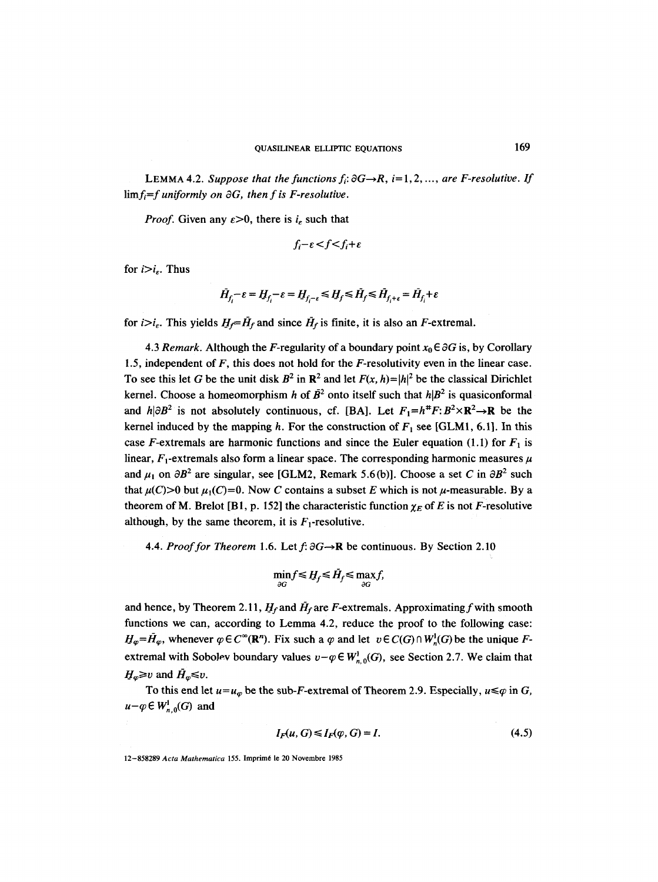LEMMA 4.2. *Suppose that the functions*  $f_i$ *:*  $\partial G \rightarrow R$ ,  $i=1,2,...$ , *are F-resolutive. If*  $\lim_{f_i = f \text{ uniformly on } \partial G$ , then f is *F*-resolutive.

*Proof.* Given any  $\varepsilon > 0$ , there is  $i_{\varepsilon}$  such that

$$
f_i - \varepsilon < f < f_i + \varepsilon
$$

for  $i>i<sub>e</sub>$ . Thus

$$
\bar{H}_{f_i^-}\epsilon=H_{f_i^-}\epsilon=H_{f_i-\epsilon}\leq H_f\leq \bar{H}_f\leq \bar{H}_{f_i+\epsilon}=\bar{H}_{f_i}+\epsilon
$$

for  $i>i_{\epsilon}$ . This yields  $H_f = \tilde{H}_f$  and since  $\tilde{H}_f$  is finite, it is also an F-extremal.

4.3 *Remark.* Although the *F*-regularity of a boundary point  $x_0 \in \partial G$  is, by Corollary 1.5, independent of  $F$ , this does not hold for the  $F$ -resolutivity even in the linear case. To see this let G be the unit disk  $B^2$  in  $\mathbb{R}^2$  and let  $F(x, h) = |h|^2$  be the classical Dirichlet kernel. Choose a homeomorphism h of  $\bar{B}^2$  onto itself such that  $h|B^2$  is quasiconformal and  $h|\partial B^2$  is not absolutely continuous, cf. [BA]. Let  $F_1=h^{\#}F: B^2\times \mathbb{R}^2\to \mathbb{R}$  be the kernel induced by the mapping h. For the construction of  $F_1$  see [GLM1, 6.1]. In this case F-extremals are harmonic functions and since the Euler equation (1.1) for  $F_1$  is linear,  $F_1$ -extremals also form a linear space. The corresponding harmonic measures  $\mu$ and  $\mu_1$  on  $\partial B^2$  are singular, see [GLM2, Remark 5.6(b)]. Choose a set C in  $\partial B^2$  such that  $\mu(C) > 0$  but  $\mu_1(C) = 0$ . Now C contains a subset E which is not  $\mu$ -measurable. By a theorem of M. Brelot [B1, p. 152] the characteristic function  $\chi_E$  of E is not F-resolutive although, by the same theorem, it is  $F_1$ -resolutive.

4.4. *Proof for Theorem* 1.6. Let  $f: \partial G \rightarrow \mathbb{R}$  be continuous. By Section 2.10

$$
\min_{\partial G} f \le H_f \le \bar{H}_f \le \max_{\partial G} f,
$$

and hence, by Theorem 2.11,  $H_f$  and  $\bar{H}_f$  are F-extremals. Approximating f with smooth functions we can, according to Lemma 4.2, reduce the proof to the following case:  $H_{\varphi}=\bar{H}_{\varphi}$ , whenever  $\varphi \in C^{\infty}(\mathbb{R}^n)$ . Fix such a  $\varphi$  and let  $v \in C(G) \cap W^1_n(G)$  be the unique Fextremal with Sobolev boundary values  $v-\varphi \in W^1_{n,0}(G)$ , see Section 2.7. We claim that  $H_{\varphi} \geq v$  and  $\bar{H}_{\varphi} \leq v$ .

To this end let  $u=u_{\varphi}$  be the sub-F-extremal of Theorem 2.9. Especially,  $u \leq \varphi$  in G,  $u-q \in W^1_{n,0}(G)$  and

$$
I_F(u, G) \le I_F(\varphi, G) = I. \tag{4.5}
$$

<sup>12-858289</sup> Acta Mathematica 155. Imprimé le 20 Novembre 1985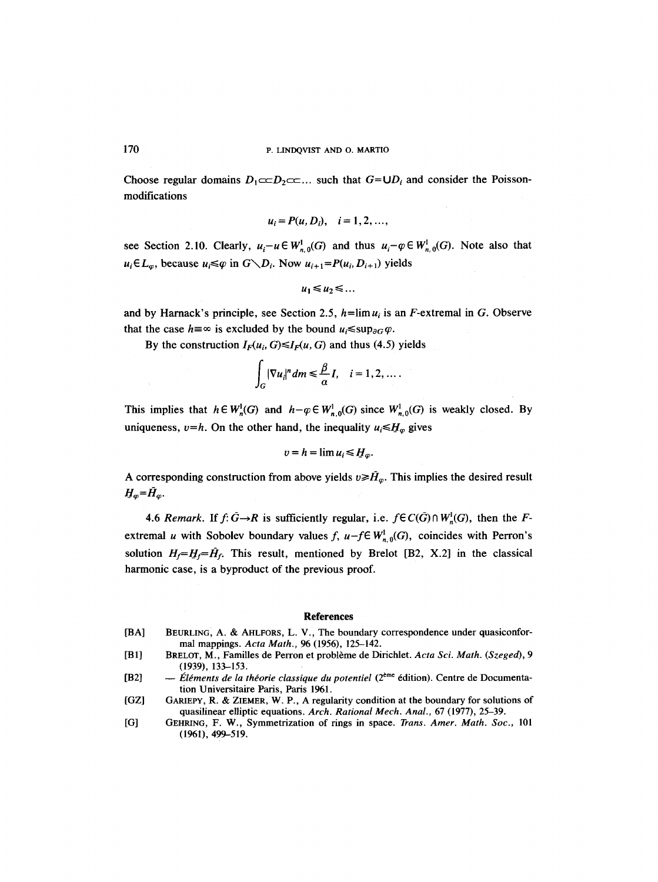Choose regular domains  $D_1 \subset \subset D_2 \subset \subset \ldots$  such that  $G = \bigcup D_i$  and consider the Poissonmodifications

$$
u_i = P(u, D_i), i = 1, 2, ...,
$$

see Section 2.10. Clearly,  $u_i-u \in W^1_{n,0}(G)$  and thus  $u_i-\varphi \in W^1_{n,0}(G)$ . Note also that  $u_i \in L_\varphi$ , because  $u_i \leq \varphi$  in  $G \setminus D_i$ . Now  $u_{i+1} = P(u_i, D_{i+1})$  yields

$$
u_1\!\leq\!u_2\!\leq\!\ldots
$$

and by Harnack's principle, see Section 2.5,  $h = \lim u_i$  is an F-extremal in G. Observe that the case  $h = \infty$  is excluded by the bound  $u_i \leq \sup_{\partial G} \varphi$ .

By the construction  $I_F(u_i, G) \le I_F(u, G)$  and thus (4.5) yields

$$
\int_G |\nabla u_i|^n dm \leq \frac{\beta}{\alpha} I, \quad i = 1, 2, \dots.
$$

This implies that  $h \in W_n^1(G)$  and  $h - \varphi \in W_{n,0}^1(G)$  since  $W_{n,0}^1(G)$  is weakly closed. By uniqueness,  $v=h$ . On the other hand, the inequality  $u_i \leq H_\infty$  gives

$$
v=h=\lim u_i\leq H_\varphi.
$$

A corresponding construction from above yields  $v \ge \hat{H}_\omega$ . This implies the desired result  $H_{\varphi} = \bar{H}_{\varphi}$ .

4.6 *Remark.* If  $f: \bar{G} \rightarrow R$  is sufficiently regular, i.e.  $f \in C(\bar{G}) \cap W^1$ <sub>n</sub> $(G)$ , then the Fextremal *u* with Sobolev boundary values f,  $u-f \in W_{n,0}^1(G)$ , coincides with Perron's solution  $H_f = H_f = \tilde{H}_f$ . This result, mentioned by Brelot [B2, X.2] in the classical harmonic case, is a byproduct of the previous proof.

#### **References**

- [BAI BEURLING, A. & AHLFORS, L. V., The boundary correspondence under quasiconformal mappings. *Acta Math.,* 96 (1956), 125-142.
- [B1] BRELOT, M., Familles de Perron et problème de Dirichlet. *Acta Sci. Math. (Szeged)*, 9 (1939), 133--153.
- [B2] -- Éléments de la théorie classique du potentiel (2<sup>ème</sup> édition). Centre de Documentation Universitaire Paris, Paris 1961.
- [OZl GARIEPY, R. & ZIEMER, W. P., A regularity condition at the boundary for solutions of quasilinear elliptic equations. *Arch. Rational Mech. Anal.,* 67 (1977), 25-39.
- $[G]$ GEHRING, F. W., Symmetrization of rings in space. *Trans. Amer. Math. Soc.,* 101 (1961), 499-519.